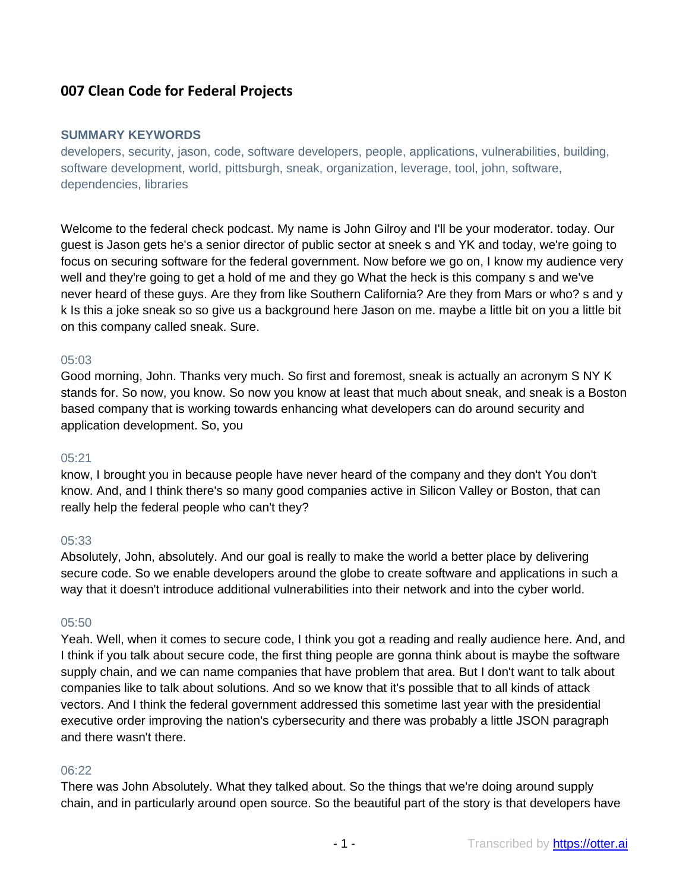# **007 Clean Code for Federal Projects**

#### **SUMMARY KEYWORDS**

developers, security, jason, code, software developers, people, applications, vulnerabilities, building, software development, world, pittsburgh, sneak, organization, leverage, tool, john, software, dependencies, libraries

Welcome to the federal check podcast. My name is John Gilroy and I'll be your moderator. today. Our guest is Jason gets he's a senior director of public sector at sneek s and YK and today, we're going to focus on securing software for the federal government. Now before we go on, I know my audience very well and they're going to get a hold of me and they go What the heck is this company s and we've never heard of these guys. Are they from like Southern California? Are they from Mars or who? s and y k Is this a joke sneak so so give us a background here Jason on me. maybe a little bit on you a little bit on this company called sneak. Sure.

#### 05:03

Good morning, John. Thanks very much. So first and foremost, sneak is actually an acronym S NY K stands for. So now, you know. So now you know at least that much about sneak, and sneak is a Boston based company that is working towards enhancing what developers can do around security and application development. So, you

#### $05:21$

know, I brought you in because people have never heard of the company and they don't You don't know. And, and I think there's so many good companies active in Silicon Valley or Boston, that can really help the federal people who can't they?

#### 05:33

Absolutely, John, absolutely. And our goal is really to make the world a better place by delivering secure code. So we enable developers around the globe to create software and applications in such a way that it doesn't introduce additional vulnerabilities into their network and into the cyber world.

#### 05:50

Yeah. Well, when it comes to secure code, I think you got a reading and really audience here. And, and I think if you talk about secure code, the first thing people are gonna think about is maybe the software supply chain, and we can name companies that have problem that area. But I don't want to talk about companies like to talk about solutions. And so we know that it's possible that to all kinds of attack vectors. And I think the federal government addressed this sometime last year with the presidential executive order improving the nation's cybersecurity and there was probably a little JSON paragraph and there wasn't there.

#### 06:22

There was John Absolutely. What they talked about. So the things that we're doing around supply chain, and in particularly around open source. So the beautiful part of the story is that developers have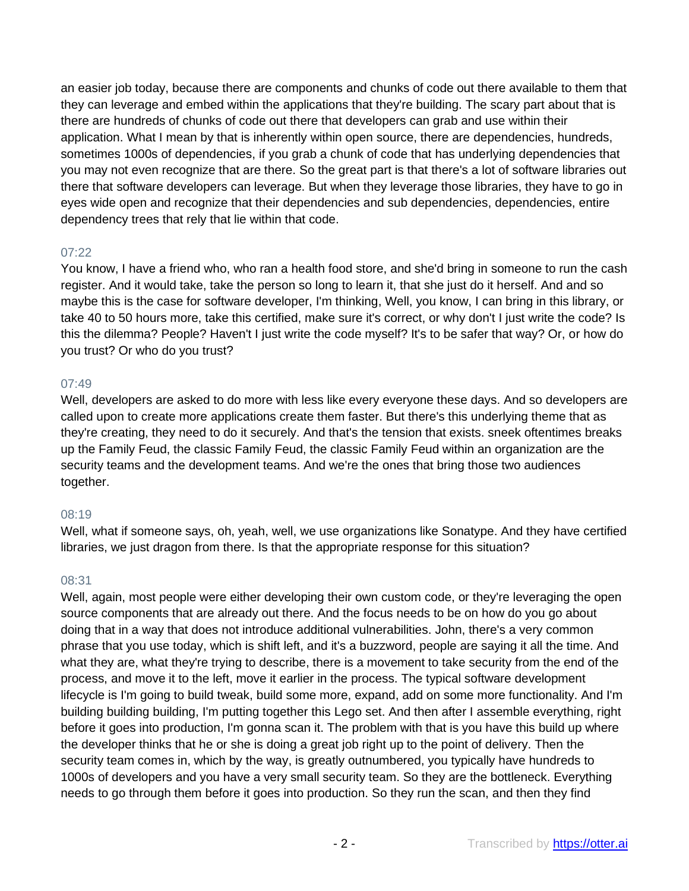an easier job today, because there are components and chunks of code out there available to them that they can leverage and embed within the applications that they're building. The scary part about that is there are hundreds of chunks of code out there that developers can grab and use within their application. What I mean by that is inherently within open source, there are dependencies, hundreds, sometimes 1000s of dependencies, if you grab a chunk of code that has underlying dependencies that you may not even recognize that are there. So the great part is that there's a lot of software libraries out there that software developers can leverage. But when they leverage those libraries, they have to go in eyes wide open and recognize that their dependencies and sub dependencies, dependencies, entire dependency trees that rely that lie within that code.

### 07:22

You know, I have a friend who, who ran a health food store, and she'd bring in someone to run the cash register. And it would take, take the person so long to learn it, that she just do it herself. And and so maybe this is the case for software developer, I'm thinking, Well, you know, I can bring in this library, or take 40 to 50 hours more, take this certified, make sure it's correct, or why don't I just write the code? Is this the dilemma? People? Haven't I just write the code myself? It's to be safer that way? Or, or how do you trust? Or who do you trust?

### 07:49

Well, developers are asked to do more with less like every everyone these days. And so developers are called upon to create more applications create them faster. But there's this underlying theme that as they're creating, they need to do it securely. And that's the tension that exists. sneek oftentimes breaks up the Family Feud, the classic Family Feud, the classic Family Feud within an organization are the security teams and the development teams. And we're the ones that bring those two audiences together.

#### 08:19

Well, what if someone says, oh, yeah, well, we use organizations like Sonatype. And they have certified libraries, we just dragon from there. Is that the appropriate response for this situation?

#### 08:31

Well, again, most people were either developing their own custom code, or they're leveraging the open source components that are already out there. And the focus needs to be on how do you go about doing that in a way that does not introduce additional vulnerabilities. John, there's a very common phrase that you use today, which is shift left, and it's a buzzword, people are saying it all the time. And what they are, what they're trying to describe, there is a movement to take security from the end of the process, and move it to the left, move it earlier in the process. The typical software development lifecycle is I'm going to build tweak, build some more, expand, add on some more functionality. And I'm building building building, I'm putting together this Lego set. And then after I assemble everything, right before it goes into production, I'm gonna scan it. The problem with that is you have this build up where the developer thinks that he or she is doing a great job right up to the point of delivery. Then the security team comes in, which by the way, is greatly outnumbered, you typically have hundreds to 1000s of developers and you have a very small security team. So they are the bottleneck. Everything needs to go through them before it goes into production. So they run the scan, and then they find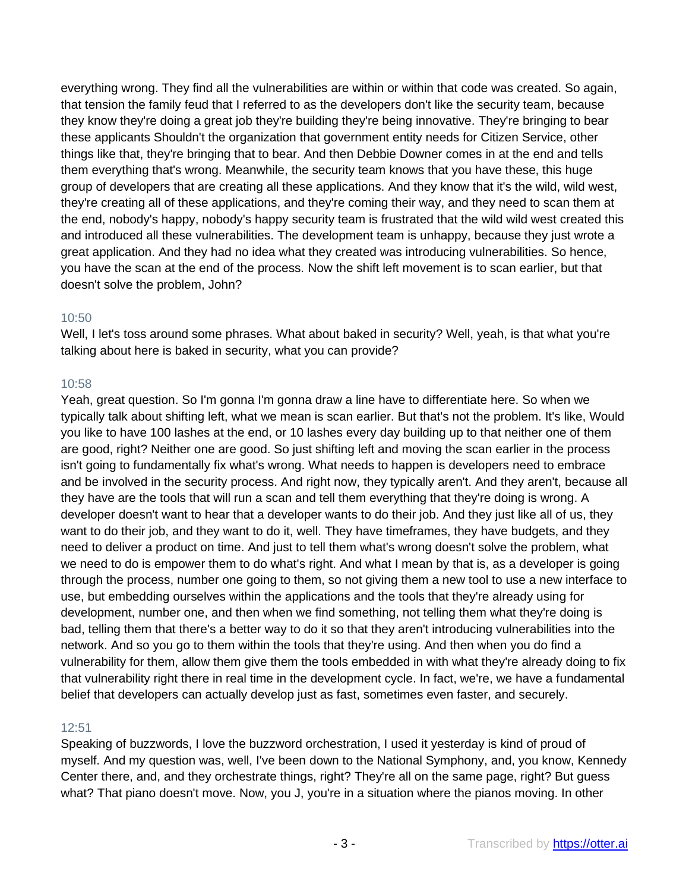everything wrong. They find all the vulnerabilities are within or within that code was created. So again, that tension the family feud that I referred to as the developers don't like the security team, because they know they're doing a great job they're building they're being innovative. They're bringing to bear these applicants Shouldn't the organization that government entity needs for Citizen Service, other things like that, they're bringing that to bear. And then Debbie Downer comes in at the end and tells them everything that's wrong. Meanwhile, the security team knows that you have these, this huge group of developers that are creating all these applications. And they know that it's the wild, wild west, they're creating all of these applications, and they're coming their way, and they need to scan them at the end, nobody's happy, nobody's happy security team is frustrated that the wild wild west created this and introduced all these vulnerabilities. The development team is unhappy, because they just wrote a great application. And they had no idea what they created was introducing vulnerabilities. So hence, you have the scan at the end of the process. Now the shift left movement is to scan earlier, but that doesn't solve the problem, John?

### 10:50

Well, I let's toss around some phrases. What about baked in security? Well, yeah, is that what you're talking about here is baked in security, what you can provide?

### 10:58

Yeah, great question. So I'm gonna I'm gonna draw a line have to differentiate here. So when we typically talk about shifting left, what we mean is scan earlier. But that's not the problem. It's like, Would you like to have 100 lashes at the end, or 10 lashes every day building up to that neither one of them are good, right? Neither one are good. So just shifting left and moving the scan earlier in the process isn't going to fundamentally fix what's wrong. What needs to happen is developers need to embrace and be involved in the security process. And right now, they typically aren't. And they aren't, because all they have are the tools that will run a scan and tell them everything that they're doing is wrong. A developer doesn't want to hear that a developer wants to do their job. And they just like all of us, they want to do their job, and they want to do it, well. They have timeframes, they have budgets, and they need to deliver a product on time. And just to tell them what's wrong doesn't solve the problem, what we need to do is empower them to do what's right. And what I mean by that is, as a developer is going through the process, number one going to them, so not giving them a new tool to use a new interface to use, but embedding ourselves within the applications and the tools that they're already using for development, number one, and then when we find something, not telling them what they're doing is bad, telling them that there's a better way to do it so that they aren't introducing vulnerabilities into the network. And so you go to them within the tools that they're using. And then when you do find a vulnerability for them, allow them give them the tools embedded in with what they're already doing to fix that vulnerability right there in real time in the development cycle. In fact, we're, we have a fundamental belief that developers can actually develop just as fast, sometimes even faster, and securely.

## 12:51

Speaking of buzzwords, I love the buzzword orchestration, I used it yesterday is kind of proud of myself. And my question was, well, I've been down to the National Symphony, and, you know, Kennedy Center there, and, and they orchestrate things, right? They're all on the same page, right? But guess what? That piano doesn't move. Now, you J, you're in a situation where the pianos moving. In other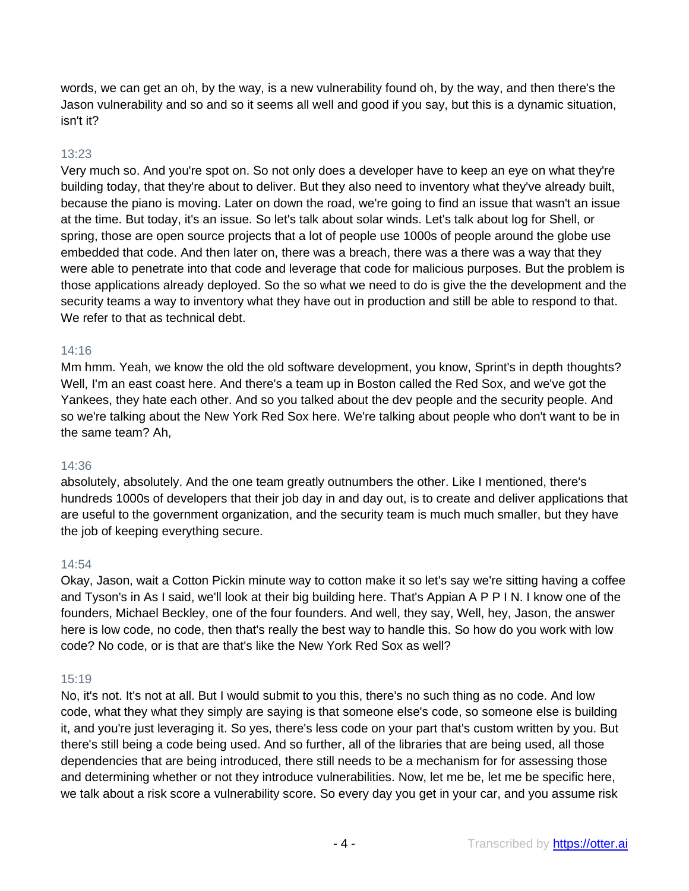words, we can get an oh, by the way, is a new vulnerability found oh, by the way, and then there's the Jason vulnerability and so and so it seems all well and good if you say, but this is a dynamic situation, isn't it?

## 13:23

Very much so. And you're spot on. So not only does a developer have to keep an eye on what they're building today, that they're about to deliver. But they also need to inventory what they've already built, because the piano is moving. Later on down the road, we're going to find an issue that wasn't an issue at the time. But today, it's an issue. So let's talk about solar winds. Let's talk about log for Shell, or spring, those are open source projects that a lot of people use 1000s of people around the globe use embedded that code. And then later on, there was a breach, there was a there was a way that they were able to penetrate into that code and leverage that code for malicious purposes. But the problem is those applications already deployed. So the so what we need to do is give the the development and the security teams a way to inventory what they have out in production and still be able to respond to that. We refer to that as technical debt.

### 14:16

Mm hmm. Yeah, we know the old the old software development, you know, Sprint's in depth thoughts? Well, I'm an east coast here. And there's a team up in Boston called the Red Sox, and we've got the Yankees, they hate each other. And so you talked about the dev people and the security people. And so we're talking about the New York Red Sox here. We're talking about people who don't want to be in the same team? Ah,

#### 14:36

absolutely, absolutely. And the one team greatly outnumbers the other. Like I mentioned, there's hundreds 1000s of developers that their job day in and day out, is to create and deliver applications that are useful to the government organization, and the security team is much much smaller, but they have the job of keeping everything secure.

#### 14:54

Okay, Jason, wait a Cotton Pickin minute way to cotton make it so let's say we're sitting having a coffee and Tyson's in As I said, we'll look at their big building here. That's Appian A P P I N. I know one of the founders, Michael Beckley, one of the four founders. And well, they say, Well, hey, Jason, the answer here is low code, no code, then that's really the best way to handle this. So how do you work with low code? No code, or is that are that's like the New York Red Sox as well?

## 15:19

No, it's not. It's not at all. But I would submit to you this, there's no such thing as no code. And low code, what they what they simply are saying is that someone else's code, so someone else is building it, and you're just leveraging it. So yes, there's less code on your part that's custom written by you. But there's still being a code being used. And so further, all of the libraries that are being used, all those dependencies that are being introduced, there still needs to be a mechanism for for assessing those and determining whether or not they introduce vulnerabilities. Now, let me be, let me be specific here, we talk about a risk score a vulnerability score. So every day you get in your car, and you assume risk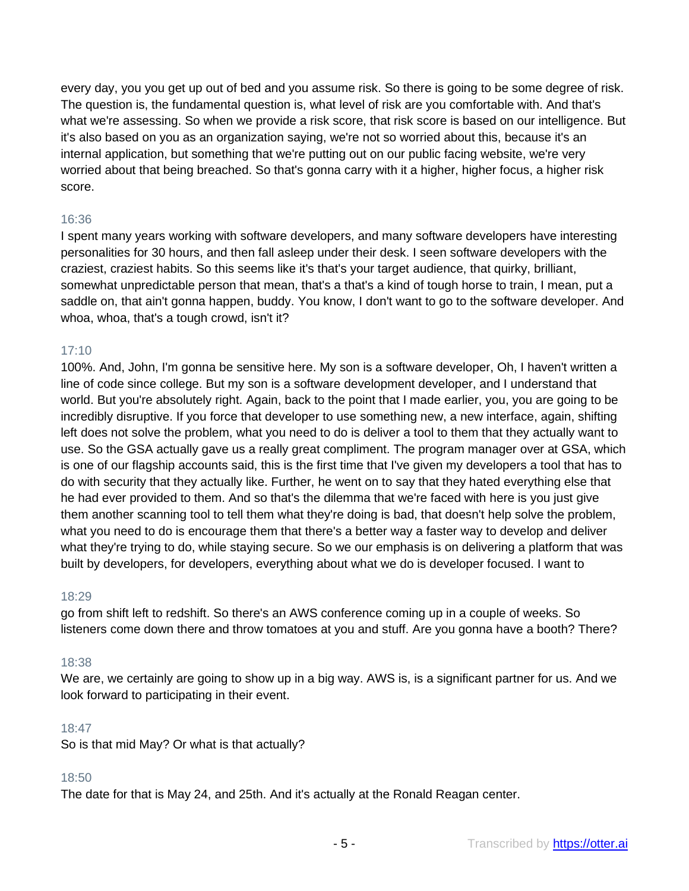every day, you you get up out of bed and you assume risk. So there is going to be some degree of risk. The question is, the fundamental question is, what level of risk are you comfortable with. And that's what we're assessing. So when we provide a risk score, that risk score is based on our intelligence. But it's also based on you as an organization saying, we're not so worried about this, because it's an internal application, but something that we're putting out on our public facing website, we're very worried about that being breached. So that's gonna carry with it a higher, higher focus, a higher risk score.

### 16:36

I spent many years working with software developers, and many software developers have interesting personalities for 30 hours, and then fall asleep under their desk. I seen software developers with the craziest, craziest habits. So this seems like it's that's your target audience, that quirky, brilliant, somewhat unpredictable person that mean, that's a that's a kind of tough horse to train, I mean, put a saddle on, that ain't gonna happen, buddy. You know, I don't want to go to the software developer. And whoa, whoa, that's a tough crowd, isn't it?

### 17:10

100%. And, John, I'm gonna be sensitive here. My son is a software developer, Oh, I haven't written a line of code since college. But my son is a software development developer, and I understand that world. But you're absolutely right. Again, back to the point that I made earlier, you, you are going to be incredibly disruptive. If you force that developer to use something new, a new interface, again, shifting left does not solve the problem, what you need to do is deliver a tool to them that they actually want to use. So the GSA actually gave us a really great compliment. The program manager over at GSA, which is one of our flagship accounts said, this is the first time that I've given my developers a tool that has to do with security that they actually like. Further, he went on to say that they hated everything else that he had ever provided to them. And so that's the dilemma that we're faced with here is you just give them another scanning tool to tell them what they're doing is bad, that doesn't help solve the problem, what you need to do is encourage them that there's a better way a faster way to develop and deliver what they're trying to do, while staying secure. So we our emphasis is on delivering a platform that was built by developers, for developers, everything about what we do is developer focused. I want to

#### 18:29

go from shift left to redshift. So there's an AWS conference coming up in a couple of weeks. So listeners come down there and throw tomatoes at you and stuff. Are you gonna have a booth? There?

## 18:38

We are, we certainly are going to show up in a big way. AWS is, is a significant partner for us. And we look forward to participating in their event.

#### 18:47

So is that mid May? Or what is that actually?

#### 18:50

The date for that is May 24, and 25th. And it's actually at the Ronald Reagan center.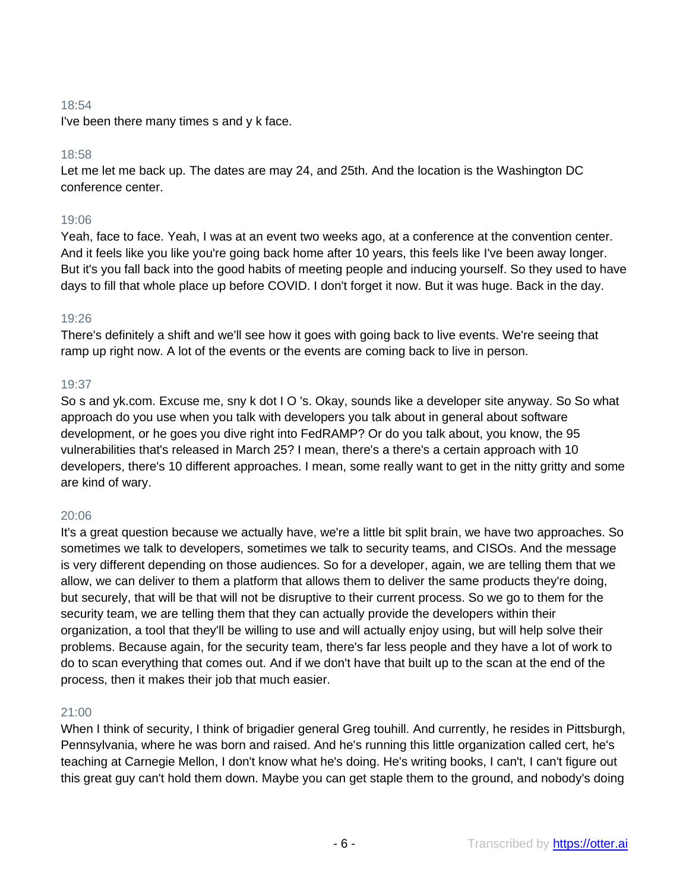## 18:54

I've been there many times s and y k face.

### 18:58

Let me let me back up. The dates are may 24, and 25th. And the location is the Washington DC conference center.

## 19:06

Yeah, face to face. Yeah, I was at an event two weeks ago, at a conference at the convention center. And it feels like you like you're going back home after 10 years, this feels like I've been away longer. But it's you fall back into the good habits of meeting people and inducing yourself. So they used to have days to fill that whole place up before COVID. I don't forget it now. But it was huge. Back in the day.

#### 19:26

There's definitely a shift and we'll see how it goes with going back to live events. We're seeing that ramp up right now. A lot of the events or the events are coming back to live in person.

### 19:37

So s and yk.com. Excuse me, sny k dot I O 's. Okay, sounds like a developer site anyway. So So what approach do you use when you talk with developers you talk about in general about software development, or he goes you dive right into FedRAMP? Or do you talk about, you know, the 95 vulnerabilities that's released in March 25? I mean, there's a there's a certain approach with 10 developers, there's 10 different approaches. I mean, some really want to get in the nitty gritty and some are kind of wary.

#### 20:06

It's a great question because we actually have, we're a little bit split brain, we have two approaches. So sometimes we talk to developers, sometimes we talk to security teams, and CISOs. And the message is very different depending on those audiences. So for a developer, again, we are telling them that we allow, we can deliver to them a platform that allows them to deliver the same products they're doing, but securely, that will be that will not be disruptive to their current process. So we go to them for the security team, we are telling them that they can actually provide the developers within their organization, a tool that they'll be willing to use and will actually enjoy using, but will help solve their problems. Because again, for the security team, there's far less people and they have a lot of work to do to scan everything that comes out. And if we don't have that built up to the scan at the end of the process, then it makes their job that much easier.

#### 21:00

When I think of security, I think of brigadier general Greg touhill. And currently, he resides in Pittsburgh, Pennsylvania, where he was born and raised. And he's running this little organization called cert, he's teaching at Carnegie Mellon, I don't know what he's doing. He's writing books, I can't, I can't figure out this great guy can't hold them down. Maybe you can get staple them to the ground, and nobody's doing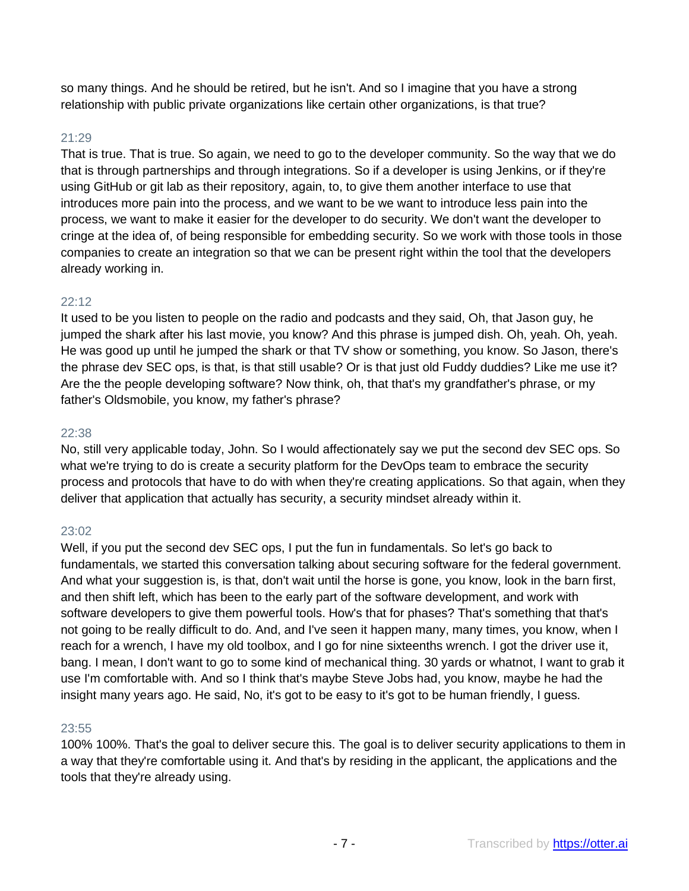so many things. And he should be retired, but he isn't. And so I imagine that you have a strong relationship with public private organizations like certain other organizations, is that true?

### 21:29

That is true. That is true. So again, we need to go to the developer community. So the way that we do that is through partnerships and through integrations. So if a developer is using Jenkins, or if they're using GitHub or git lab as their repository, again, to, to give them another interface to use that introduces more pain into the process, and we want to be we want to introduce less pain into the process, we want to make it easier for the developer to do security. We don't want the developer to cringe at the idea of, of being responsible for embedding security. So we work with those tools in those companies to create an integration so that we can be present right within the tool that the developers already working in.

#### 22:12

It used to be you listen to people on the radio and podcasts and they said, Oh, that Jason guy, he jumped the shark after his last movie, you know? And this phrase is jumped dish. Oh, yeah. Oh, yeah. He was good up until he jumped the shark or that TV show or something, you know. So Jason, there's the phrase dev SEC ops, is that, is that still usable? Or is that just old Fuddy duddies? Like me use it? Are the the people developing software? Now think, oh, that that's my grandfather's phrase, or my father's Oldsmobile, you know, my father's phrase?

#### 22:38

No, still very applicable today, John. So I would affectionately say we put the second dev SEC ops. So what we're trying to do is create a security platform for the DevOps team to embrace the security process and protocols that have to do with when they're creating applications. So that again, when they deliver that application that actually has security, a security mindset already within it.

## 23:02

Well, if you put the second dev SEC ops, I put the fun in fundamentals. So let's go back to fundamentals, we started this conversation talking about securing software for the federal government. And what your suggestion is, is that, don't wait until the horse is gone, you know, look in the barn first, and then shift left, which has been to the early part of the software development, and work with software developers to give them powerful tools. How's that for phases? That's something that that's not going to be really difficult to do. And, and I've seen it happen many, many times, you know, when I reach for a wrench, I have my old toolbox, and I go for nine sixteenths wrench. I got the driver use it, bang. I mean, I don't want to go to some kind of mechanical thing. 30 yards or whatnot, I want to grab it use I'm comfortable with. And so I think that's maybe Steve Jobs had, you know, maybe he had the insight many years ago. He said, No, it's got to be easy to it's got to be human friendly, I guess.

#### 23:55

100% 100%. That's the goal to deliver secure this. The goal is to deliver security applications to them in a way that they're comfortable using it. And that's by residing in the applicant, the applications and the tools that they're already using.